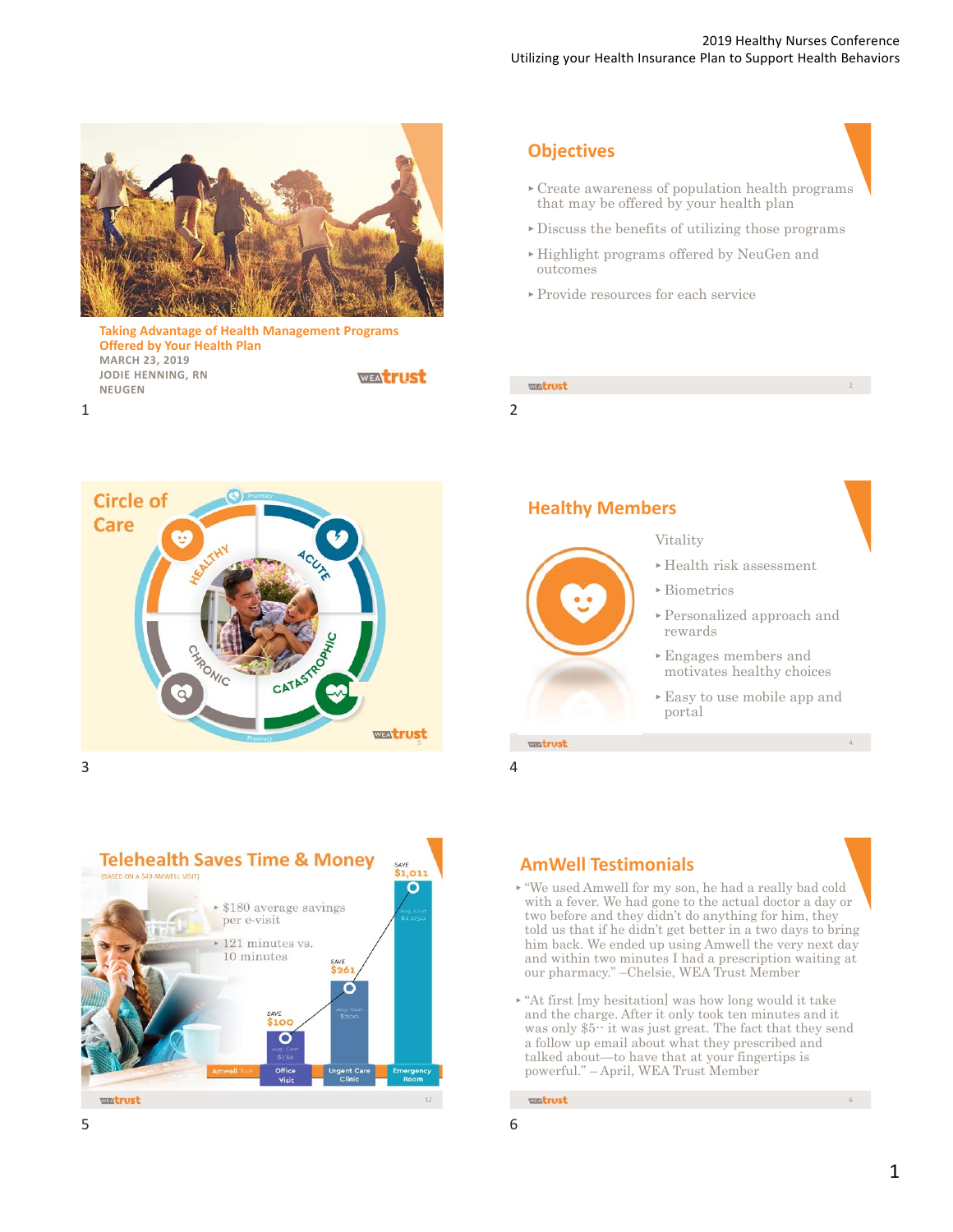‣ Create awareness of population health programs that may be offered by your health plan

 $\triangleright$  Discuss the benefits of utilizing those programs ‣ Highlight programs offered by NeuGen and



**Taking Advantage of Health Management Programs Offered by Your Health Plan MARCH 23, 2019 JODIE HENNING, RN WEAtrust NEUGEN**





‣ Provide resources for each service

**Objectives**

outcomes



 $3 \overline{4}$ 





## **AmWell Testimonials**

- ‣ "We used Amwell for my son, he had a really bad cold with a fever. We had gone to the actual doctor a day or two before and they didn't do anything for him, they told us that if he didn't get better in a two days to bring him back. We ended up using Amwell the very next day and within two minutes I had a prescription waiting at our pharmacy." –Chelsie, WEA Trust Member
- $\blacktriangleright$  "At first [my hesitation] was how long would it take and the charge. After it only took ten minutes and it was only \$5-- it was just great. The fact that they send a follow up email about what they prescribed and talked about—to have that at your fingertips is powerful." – April, WEA Trust Member

watrust

6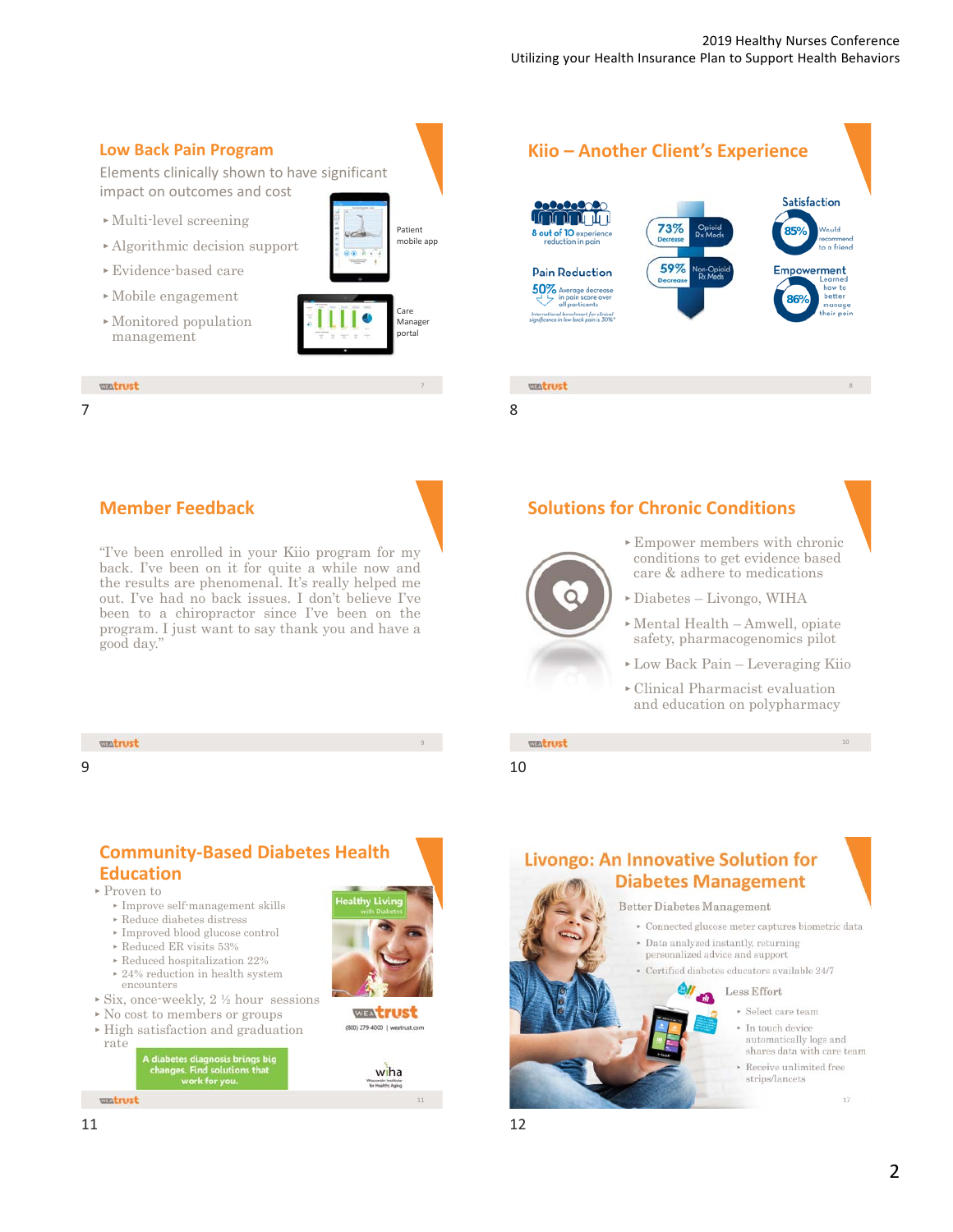#### **Low Back Pain Program Kiio – Another Client's Experience** Elements clinically shown to have significant impact on outcomes and cost Satisfaction ‣ Multi-level screening ն մումումում 73% Patient **8 out of 10** experie **85%** mobile ann ‣ Algorithmic decision support 59% ‣ Evidence-based care **Pain Reduction** Empowerment 50% Average decrease<br>  $\begin{array}{c} \begin{array}{c} \begin{array}{c} \text{N} \\ \text{N} \\ \text{N} \end{array} \end{array}$  in pain score over ‣ Mobile engagement **86%** Care .<br>ational benchmark for clinical<br>ance in low back pain is 30% ‣ Monitored population Manager portal management watrust watrust 8  $7$ **Member Feedback Solutions for Chronic Conditions** ‣ Empower members with chronic "I've been enrolled in your Kiio program for my conditions to get evidence based back. I've been on it for quite a while now and care & adhere to medications the results are phenomenal. It's really helped me out. I've had no back issues. I don't believe I've ‣ Diabetes – Livongo, WIHA been to a chiropractor since I've been on the ‣ Mental Health – Amwell, opiate program. I just want to say thank you and have a safety, pharmacogenomics pilot good day." ‣ Low Back Pain – Leveraging Kiio ‣ Clinical Pharmacist evaluation and education on polypharmacy watrust watrust 9  $9 \hspace{2.5cm} 10$ **Community-Based Diabetes Health Livongo: An Innovative Solution for Education Diabetes Management** ‣ Proven to ‣ Improve self-management skills Better Diabetes Management  $\blacktriangleright$  Reduce diabetes distress  $\blacktriangleright$  Connected glucose meter captures biometric data ‣ Improved blood glucose control  $\ast\,$  Data analyzed instantly, returning  $\blacktriangleright$  Reduced ER visits 53% personalized advice and support ‣ Reduced hospitalization 22%  $\overline{\phantom{a}}$  Certified diabetes educators available 24/7 ‣ 24% reduction in health system encounters  $e^{\prime\prime}$ Less Effort  $\triangleright$  Six, once-weekly, 2  $\frac{1}{2}$  hour sessions **WEATTUST** ► Select care team ‣ No cost to members or groups (800) 279-4000 | weatrust.com  $\triangleright$  In touch device ‣ High satisfaction and graduation automatically logs and rate shares data with care team etes diagnosis brings big<br>jes. Find solutions that<br>work for you.  $\triangleright$  Receive unlimited free wiha strips/lancets watrust 11 12 11 12